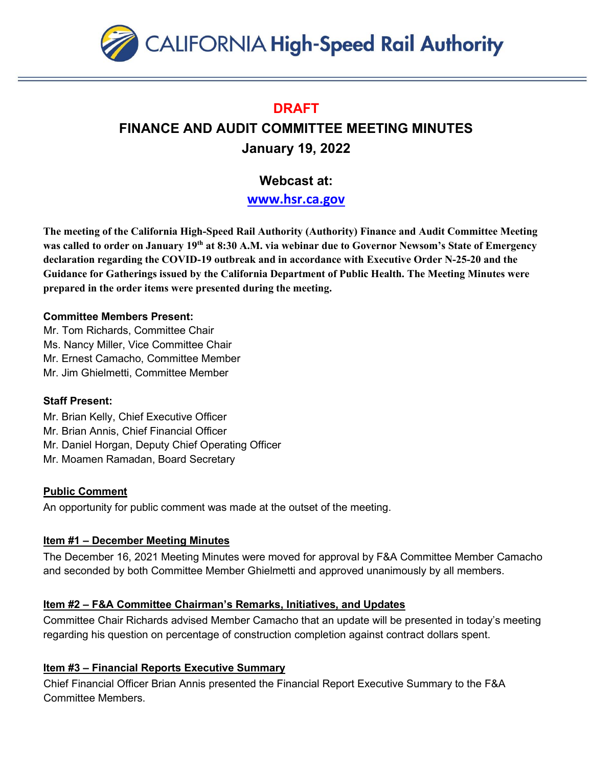

## **DRAFT**

# **FINANCE AND AUDIT COMMITTEE MEETING MINUTES January 19, 2022**

# **Webcast at:**

**[www.hsr.ca.gov](http://www.hsr.ca.gov/)**

**The meeting of the California High-Speed Rail Authority (Authority) Finance and Audit Committee Meeting was called to order on January 19th at 8:30 A.M. via webinar due to Governor Newsom's State of Emergency declaration regarding the COVID-19 outbreak and in accordance with Executive Order N-25-20 and the Guidance for Gatherings issued by the California Department of Public Health. The Meeting Minutes were prepared in the order items were presented during the meeting.** 

#### **Committee Members Present:**

Mr. Tom Richards, Committee Chair Ms. Nancy Miller, Vice Committee Chair Mr. Ernest Camacho, Committee Member Mr. Jim Ghielmetti, Committee Member

## **Staff Present:**

Mr. Brian Kelly, Chief Executive Officer

- Mr. Brian Annis, Chief Financial Officer
- Mr. Daniel Horgan, Deputy Chief Operating Officer
- Mr. Moamen Ramadan, Board Secretary

## **Public Comment**

An opportunity for public comment was made at the outset of the meeting.

## **Item #1 – December Meeting Minutes**

The December 16, 2021 Meeting Minutes were moved for approval by F&A Committee Member Camacho and seconded by both Committee Member Ghielmetti and approved unanimously by all members.

## **Item #2 – F&A Committee Chairman's Remarks, Initiatives, and Updates**

Committee Chair Richards advised Member Camacho that an update will be presented in today's meeting regarding his question on percentage of construction completion against contract dollars spent.

## **Item #3 – Financial Reports Executive Summary**

Chief Financial Officer Brian Annis presented the Financial Report Executive Summary to the F&A Committee Members.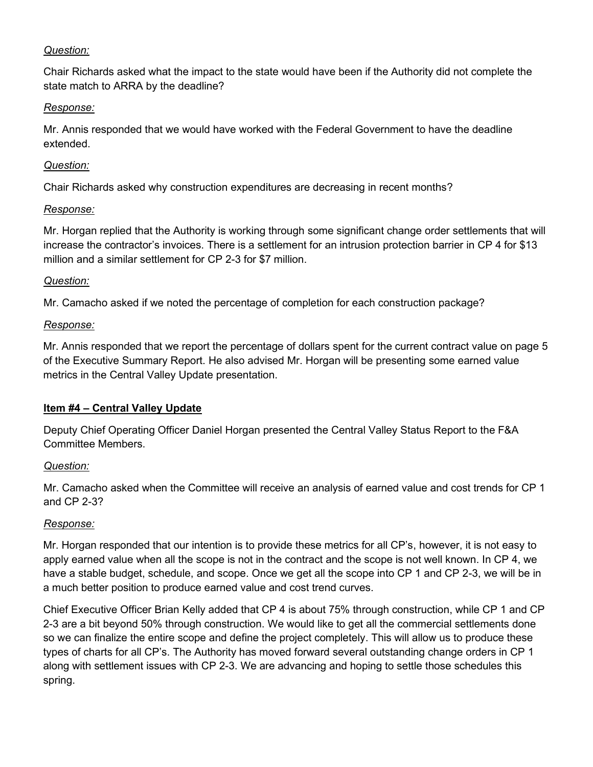#### *Question:*

Chair Richards asked what the impact to the state would have been if the Authority did not complete the state match to ARRA by the deadline?

#### *Response:*

Mr. Annis responded that we would have worked with the Federal Government to have the deadline extended.

#### *Question:*

Chair Richards asked why construction expenditures are decreasing in recent months?

#### *Response:*

Mr. Horgan replied that the Authority is working through some significant change order settlements that will increase the contractor's invoices. There is a settlement for an intrusion protection barrier in CP 4 for \$13 million and a similar settlement for CP 2-3 for \$7 million.

## *Question:*

Mr. Camacho asked if we noted the percentage of completion for each construction package?

#### *Response:*

Mr. Annis responded that we report the percentage of dollars spent for the current contract value on page 5 of the Executive Summary Report. He also advised Mr. Horgan will be presenting some earned value metrics in the Central Valley Update presentation.

## **Item #4 – Central Valley Update**

Deputy Chief Operating Officer Daniel Horgan presented the Central Valley Status Report to the F&A Committee Members.

## *Question:*

Mr. Camacho asked when the Committee will receive an analysis of earned value and cost trends for CP 1 and CP 2-3?

## *Response:*

Mr. Horgan responded that our intention is to provide these metrics for all CP's, however, it is not easy to apply earned value when all the scope is not in the contract and the scope is not well known. In CP 4, we have a stable budget, schedule, and scope. Once we get all the scope into CP 1 and CP 2-3, we will be in a much better position to produce earned value and cost trend curves.

Chief Executive Officer Brian Kelly added that CP 4 is about 75% through construction, while CP 1 and CP 2-3 are a bit beyond 50% through construction. We would like to get all the commercial settlements done so we can finalize the entire scope and define the project completely. This will allow us to produce these types of charts for all CP's. The Authority has moved forward several outstanding change orders in CP 1 along with settlement issues with CP 2-3. We are advancing and hoping to settle those schedules this spring.